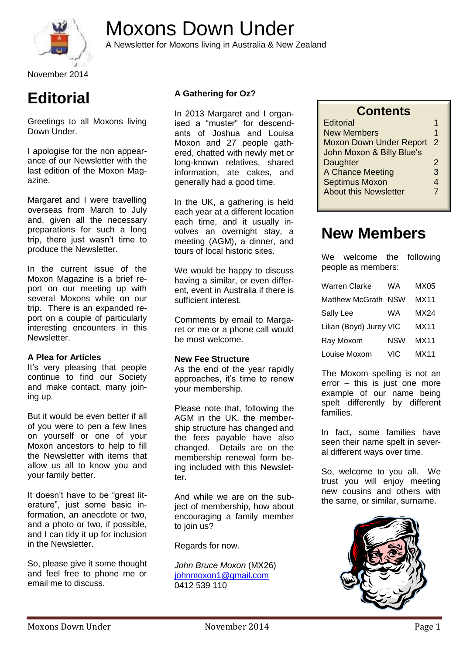

# Moxons Down Under

A Newsletter for Moxons living in Australia & New Zealand

November 2014

## **Editorial**

Greetings to all Moxons living Down Under.

I apologise for the non appearance of our Newsletter with the last edition of the Moxon Magazine.

Margaret and I were travelling overseas from March to July and, given all the necessary preparations for such a long trip, there just wasn't time to produce the Newsletter.

In the current issue of the Moxon Magazine is a brief report on our meeting up with several Moxons while on our trip. There is an expanded report on a couple of particularly interesting encounters in this Newsletter.

#### **A Plea for Articles**

It's very pleasing that people continue to find our Society and make contact, many joining up.

But it would be even better if all of you were to pen a few lines on yourself or one of your Moxon ancestors to help to fill the Newsletter with items that allow us all to know you and your family better.

It doesn't have to be "great literature", just some basic information, an anecdote or two, and a photo or two, if possible, and I can tidy it up for inclusion in the Newsletter.

So, please give it some thought and feel free to phone me or email me to discuss.

#### **A Gathering for Oz?**

In 2013 Margaret and I organised a "muster" for descendants of Joshua and Louisa Moxon and 27 people gathered, chatted with newly met or long-known relatives, shared information, ate cakes, and generally had a good time.

In the UK, a gathering is held each year at a different location each time, and it usually involves an overnight stay, a meeting (AGM), a dinner, and tours of local historic sites.

We would be happy to discuss having a similar, or even different, event in Australia if there is sufficient interest.

Comments by email to Margaret or me or a phone call would be most welcome.

#### **New Fee Structure**

As the end of the year rapidly approaches, it's time to renew your membership.

Please note that, following the AGM in the UK, the membership structure has changed and the fees payable have also changed. Details are on the membership renewal form being included with this Newsletter

And while we are on the subject of membership, how about encouraging a family member to join us?

Regards for now.

*John Bruce Moxon* (MX26) [johnmoxon1@gmail.com](mailto:johnmoxon1@gmail.com) 0412 539 110

| <b>Contents</b> |
|-----------------|
|-----------------|

| <b>Editorial</b>               |   |
|--------------------------------|---|
| <b>New Members</b>             | 1 |
| <b>Moxon Down Under Report</b> | 2 |
| John Moxon & Billy Blue's      |   |
| Daughter                       | 2 |
| A Chance Meeting               | 3 |
| <b>Septimus Moxon</b>          | 4 |
| <b>About this Newsletter</b>   | 7 |

### **New Members**

We welcome the following people as members:

| <b>Warren Clarke</b>    | WA         | MX05 |
|-------------------------|------------|------|
| Matthew McGrath         | <b>NSW</b> | MX11 |
| Sally Lee               | WA         | MX24 |
| Lilian (Boyd) Jurey VIC |            | MX11 |
| Ray Moxom               | <b>NSW</b> | MX11 |
| Louise Moxom            | VIC        | MX11 |

The Moxom spelling is not an error – this is just one more example of our name being spelt differently by different families.

In fact, some families have seen their name spelt in several different ways over time.

So, welcome to you all. We trust you will enjoy meeting new cousins and others with the same, or similar, surname.

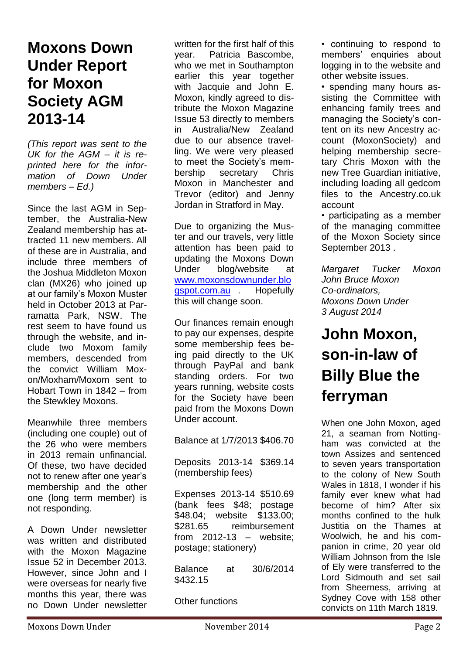### **Moxons Down Under Report for Moxon Society AGM 2013-14**

*(This report was sent to the UK for the AGM – it is reprinted here for the information of Down Under members – Ed.)*

Since the last AGM in September, the Australia-New Zealand membership has attracted 11 new members. All of these are in Australia, and include three members of the Joshua Middleton Moxon clan (MX26) who joined up at our family's Moxon Muster held in October 2013 at Parramatta Park, NSW. The rest seem to have found us through the website, and include two Moxom family members, descended from the convict William Moxon/Moxham/Moxom sent to Hobart Town in 1842 – from the Stewkley Moxons.

Meanwhile three members (including one couple) out of the 26 who were members in 2013 remain unfinancial. Of these, two have decided not to renew after one year's membership and the other one (long term member) is not responding.

A Down Under newsletter was written and distributed with the Moxon Magazine Issue 52 in December 2013. However, since John and I were overseas for nearly five months this year, there was no Down Under newsletter

written for the first half of this year. Patricia Bascombe, who we met in Southampton earlier this year together with Jacquie and John E. Moxon, kindly agreed to distribute the Moxon Magazine Issue 53 directly to members in Australia/New Zealand due to our absence travelling. We were very pleased to meet the Society's membership secretary Chris Moxon in Manchester and Trevor (editor) and Jenny Jordan in Stratford in May.

Due to organizing the Muster and our travels, very little attention has been paid to updating the Moxons Down Under blog/website at [www.moxonsdownunder.blo](http://www.moxonsdownunder.blogspot.com.au/) [gspot.com.au](http://www.moxonsdownunder.blogspot.com.au/) . Hopefully this will change soon.

Our finances remain enough to pay our expenses, despite some membership fees being paid directly to the UK through PayPal and bank standing orders. For two years running, website costs for the Society have been paid from the Moxons Down Under account.

Balance at 1/7/2013 \$406.70

Deposits 2013-14 \$369.14 (membership fees)

Expenses 2013-14 \$510.69 (bank fees \$48; postage \$48.04; website \$133.00; \$281.65 reimbursement from 2012-13 – website; postage; stationery)

Balance at 30/6/2014 \$432.15

Other functions

• continuing to respond to members' enquiries about logging in to the website and other website issues.

• spending many hours assisting the Committee with enhancing family trees and managing the Society's content on its new Ancestry account (MoxonSociety) and helping membership secretary Chris Moxon with the new Tree Guardian initiative, including loading all gedcom files to the Ancestry.co.uk account

• participating as a member of the managing committee of the Moxon Society since September 2013 .

*Margaret Tucker Moxon John Bruce Moxon Co-ordinators, Moxons Down Under 3 August 2014*

## **John Moxon, son-in-law of Billy Blue the ferryman**

When one John Moxon, aged 21, a seaman from Nottingham was convicted at the town Assizes and sentenced to seven years transportation to the colony of New South Wales in 1818, I wonder if his family ever knew what had become of him? After six months confined to the hulk Justitia on the Thames at Woolwich, he and his companion in crime, 20 year old William Johnson from the Isle of Ely were transferred to the Lord Sidmouth and set sail from Sheerness, arriving at Sydney Cove with 158 other convicts on 11th March 1819.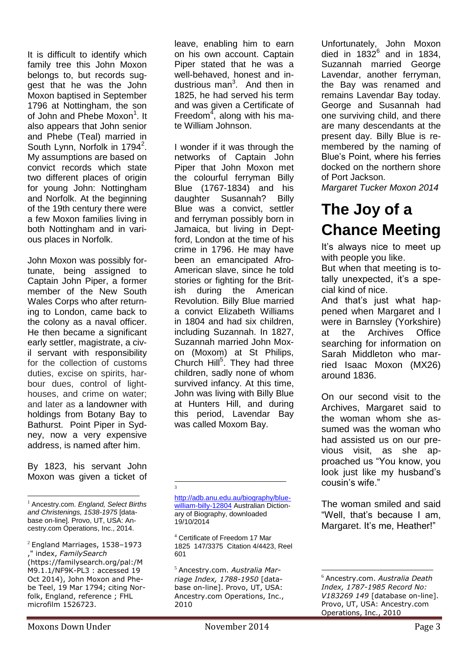It is difficult to identify which family tree this John Moxon belongs to, but records suggest that he was the John Moxon baptised in September 1796 at Nottingham, the son of John and Phebe Moxon<sup>1</sup>. It also appears that John senior and Phebe (Teal) married in South Lynn, Norfolk in 1794<sup>2</sup>. My assumptions are based on convict records which state two different places of origin for young John: Nottingham and Norfolk. At the beginning of the 19th century there were a few Moxon families living in both Nottingham and in various places in Norfolk.

John Moxon was possibly fortunate, being assigned to Captain John Piper, a former member of the New South Wales Corps who after returning to London, came back to the colony as a naval officer. He then became a significant early settler, magistrate, a civil servant with responsibility for the collection of customs duties, excise on spirits, harbour dues, control of lighthouses, and crime on water; and later as a landowner with holdings from Botany Bay to Bathurst. Point Piper in Sydney, now a very expensive address, is named after him.

By 1823, his servant John Moxon was given a ticket of

 $\overline{a}$ <sup>1</sup> Ancestry.com. *England, Select Births and Christenings, 1538-1975* [database on-line]. Provo, UT, USA: Ancestry.com Operations, Inc., 2014.

leave, enabling him to earn on his own account. Captain Piper stated that he was a well-behaved, honest and industrious man<sup>3</sup>. And then in 1825, he had served his term and was given a Certificate of Freedom<sup>4</sup>, along with his mate William Johnson.

I wonder if it was through the networks of Captain John Piper that John Moxon met the colourful ferryman Billy Blue (1767-1834) and his daughter Susannah? Billy Blue was a convict, settler and ferryman possibly born in Jamaica, but living in Deptford, London at the time of his crime in 1796. He may have been an emancipated Afro-American slave, since he told stories or fighting for the British during the American Revolution. Billy Blue married a convict Elizabeth Williams in 1804 and had six children, including Suzannah. In 1827, Suzannah married John Moxon (Moxom) at St Philips, Church Hill<sup>5</sup>. They had three children, sadly none of whom survived infancy. At this time, John was living with Billy Blue at Hunters Hill, and during this period, Lavendar Bay was called Moxom Bay.

[http://adb.anu.edu.au/biography/blue](http://adb.anu.edu.au/biography/blue-william-billy-12804)[william-billy-12804](http://adb.anu.edu.au/biography/blue-william-billy-12804) Australian Dictionary of Biography, downloaded 19/10/2014

 $\overline{a}$ 3

<sup>5</sup> Ancestry.com. *Australia Marriage Index, 1788-1950* [database on-line]. Provo, UT, USA: Ancestry.com Operations, Inc., 2010

Unfortunately, John Moxon died in  $1832^6$  and in 1834, Suzannah married George Lavendar, another ferryman, the Bay was renamed and remains Lavendar Bay today. George and Susannah had one surviving child, and there are many descendants at the present day. Billy Blue is remembered by the naming of Blue's Point, where his ferries docked on the northern shore of Port Jackson.

*Margaret Tucker Moxon 2014*

## **The Joy of a Chance Meeting**

It's always nice to meet up with people you like.

But when that meeting is totally unexpected, it's a special kind of nice.

And that's just what happened when Margaret and I were in Barnsley (Yorkshire) at the Archives Office searching for information on Sarah Middleton who married Isaac Moxon (MX26) around 1836.

On our second visit to the Archives, Margaret said to the woman whom she assumed was the woman who had assisted us on our previous visit, as she approached us "You know, you look just like my husband's cousin's wife."

The woman smiled and said "Well, that's because I am, Margaret. It's me, Heather!"

 $2$  England Marriages, 1538-1973 ," index, *FamilySearch* (https://familysearch.org/pal:/M M9.1.1/NF9K-PL3 : accessed 19 Oct 2014), John Moxon and Phebe Teel, 19 Mar 1794; citing Norfolk, England, reference ; FHL microfilm 1526723.

<sup>4</sup> Certificate of Freedom 17 Mar 1825 147/3375 Citation 4/4423, Reel 601

<sup>1</sup> <sup>6</sup> Ancestry.com. *Australia Death Index, 1787-1985 Record No: V183269 149* [database on-line]. Provo, UT, USA: Ancestry.com Operations, Inc., 2010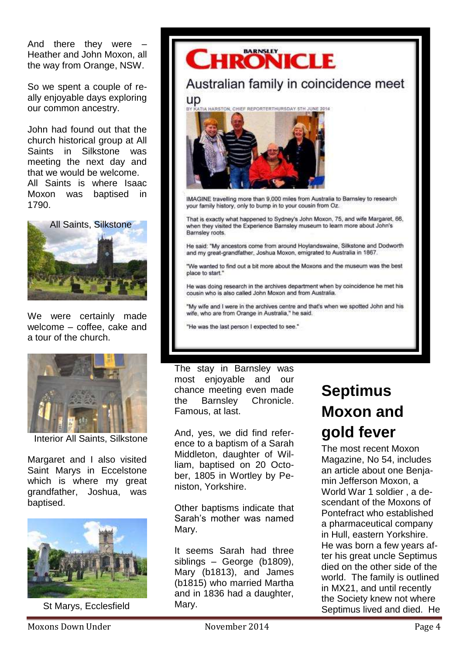And there they were Heather and John Moxon, all the way from Orange, NSW.

So we spent a couple of really enjoyable days exploring our common ancestry.

John had found out that the church historical group at All Saints in Silkstone was meeting the next day and that we would be welcome. All Saints is where Isaac Moxon was baptised in 1790.



We were certainly made welcome – coffee, cake and a tour of the church.



Interior All Saints, Silkstone

Margaret and I also visited Saint Marys in Eccelstone which is where my great grandfather, Joshua, was baptised.



St Marys, Ecclesfield



He was doing research in the archives department when by coincidence he met his cousin who is also called John Moxon and from Australia.

"My wife and I were in the archives centre and that's when we spotted John and his wife, who are from Orange in Australia," he said.

"He was the last person I expected to see."

The stay in Barnsley was most enjoyable and our chance meeting even made the Barnsley Chronicle. Famous, at last.

And, yes, we did find reference to a baptism of a Sarah Middleton, daughter of William, baptised on 20 October, 1805 in Wortley by Peniston, Yorkshire.

Other baptisms indicate that Sarah's mother was named Mary.

It seems Sarah had three siblings – George (b1809), Mary (b1813), and James (b1815) who married Martha and in 1836 had a daughter, Mary.

## **Septimus Moxon and gold fever**

The most recent Moxon Magazine, No 54, includes an article about one Benjamin Jefferson Moxon, a World War 1 soldier , a descendant of the Moxons of Pontefract who established a pharmaceutical company in Hull, eastern Yorkshire. He was born a few years after his great uncle Septimus died on the other side of the world. The family is outlined in MX21, and until recently the Society knew not where Septimus lived and died. He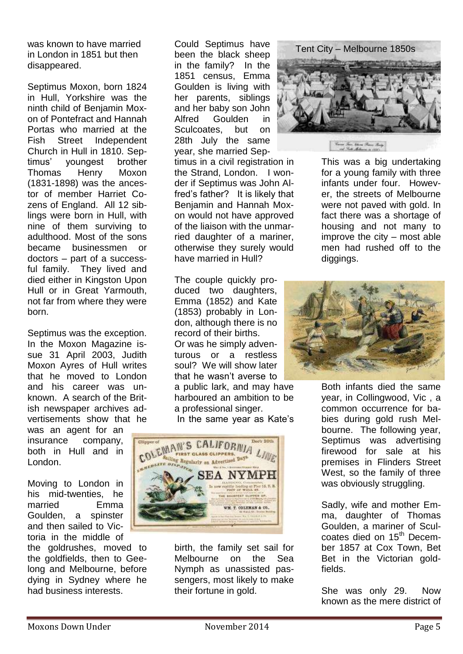was known to have married in London in 1851 but then disappeared.

Septimus Moxon, born 1824 in Hull, Yorkshire was the ninth child of Benjamin Moxon of Pontefract and Hannah Portas who married at the Fish Street Independent Church in Hull in 1810. Septimus' youngest brother Thomas Henry Moxon (1831-1898) was the ancestor of member Harriet Cozens of England. All 12 siblings were born in Hull, with nine of them surviving to adulthood. Most of the sons became businessmen or doctors – part of a successful family. They lived and died either in Kingston Upon Hull or in Great Yarmouth, not far from where they were born.

Septimus was the exception. In the Moxon Magazine issue 31 April 2003, Judith Moxon Ayres of Hull writes that he moved to London and his career was unknown. A search of the British newspaper archives advertisements show that he

was an agent for an insurance company, both in Hull and in London.

Moving to London in his mid-twenties, he married Emma Goulden, a spinster and then sailed to Victoria in the middle of

the goldrushes, moved to the goldfields, then to Geelong and Melbourne, before dying in Sydney where he had business interests.

Could Septimus have been the black sheep in the family? In the 1851 census, Emma Goulden is living with her parents, siblings and her baby son John Alfred Goulden in Sculcoates, but on 28th July the same year, she married Sep-

timus in a civil registration in the Strand, London. I wonder if Septimus was John Alfred's father? It is likely that Benjamin and Hannah Moxon would not have approved of the liaison with the unmarried daughter of a mariner, otherwise they surely would have married in Hull?

The couple quickly produced two daughters, Emma (1852) and Kate (1853) probably in London, although there is no record of their births. Or was he simply adventurous or a restless soul? We will show later that he wasn't averse to a public lark, and may have harboured an ambition to be a professional singer.

In the same year as Kate's



birth, the family set sail for Melbourne on the Sea Nymph as unassisted passengers, most likely to make their fortune in gold.



This was a big undertaking for a young family with three infants under four. However, the streets of Melbourne were not paved with gold. In fact there was a shortage of housing and not many to improve the city – most able men had rushed off to the diggings.



Both infants died the same year, in Collingwood, Vic , a common occurrence for babies during gold rush Melbourne. The following year, Septimus was advertising firewood for sale at his premises in Flinders Street West, so the family of three was obviously struggling.

Sadly, wife and mother Emma, daughter of Thomas Goulden, a mariner of Sculcoates died on 15<sup>th</sup> December 1857 at Cox Town, Bet Bet in the Victorian goldfields.

She was only 29. Now known as the mere district of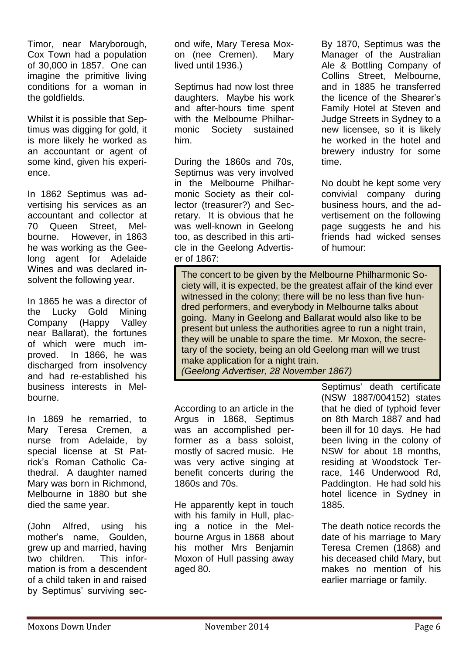Timor, near Maryborough, Cox Town had a population of 30,000 in 1857. One can imagine the primitive living conditions for a woman in the goldfields.

Whilst it is possible that Septimus was digging for gold, it is more likely he worked as an accountant or agent of some kind, given his experience.

In 1862 Septimus was advertising his services as an accountant and collector at 70 Queen Street, Melbourne. However, in 1863 he was working as the Geelong agent for Adelaide Wines and was declared insolvent the following year.

In 1865 he was a director of the Lucky Gold Mining Company (Happy Valley near Ballarat), the fortunes of which were much improved. In 1866, he was discharged from insolvency and had re-established his business interests in Melbourne.

In 1869 he remarried, to Mary Teresa Cremen, a nurse from Adelaide, by special license at St Patrick's Roman Catholic Cathedral. A daughter named Mary was born in Richmond, Melbourne in 1880 but she died the same year.

(John Alfred, using his mother's name, Goulden, grew up and married, having two children. This information is from a descendent of a child taken in and raised by Septimus' surviving second wife, Mary Teresa Moxon (nee Cremen). Mary lived until 1936.)

Septimus had now lost three daughters. Maybe his work and after-hours time spent with the Melbourne Philharmonic Society sustained him.

During the 1860s and 70s, Septimus was very involved in the Melbourne Philharmonic Society as their collector (treasurer?) and Secretary. It is obvious that he was well-known in Geelong too, as described in this article in the Geelong Advertiser of 1867:

By 1870, Septimus was the Manager of the Australian Ale & Bottling Company of Collins Street, Melbourne, and in 1885 he transferred the licence of the Shearer's Family Hotel at Steven and Judge Streets in Sydney to a new licensee, so it is likely he worked in the hotel and brewery industry for some time.

No doubt he kept some very convivial company during business hours, and the advertisement on the following page suggests he and his friends had wicked senses of humour:

The concert to be given by the Melbourne Philharmonic Society will, it is expected, be the greatest affair of the kind ever witnessed in the colony; there will be no less than five hundred performers, and everybody in Melbourne talks about going. Many in Geelong and Ballarat would also like to be present but unless the authorities agree to run a night train, they will be unable to spare the time. Mr Moxon, the secretary of the society, being an old Geelong man will we trust make application for a night train. *(Geelong Advertiser, 28 November 1867)*

According to an article in the Argus in 1868, Septimus was an accomplished performer as a bass soloist, mostly of sacred music. He was very active singing at benefit concerts during the 1860s and 70s.

He apparently kept in touch with his family in Hull, placing a notice in the Melbourne Argus in 1868 about his mother Mrs Benjamin Moxon of Hull passing away aged 80.

Septimus' death certificate (NSW 1887/004152) states that he died of typhoid fever on 8th March 1887 and had been ill for 10 days. He had been living in the colony of NSW for about 18 months, residing at Woodstock Terrace, 146 Underwood Rd, Paddington. He had sold his hotel licence in Sydney in 1885.

The death notice records the date of his marriage to Mary Teresa Cremen (1868) and his deceased child Mary, but makes no mention of his earlier marriage or family.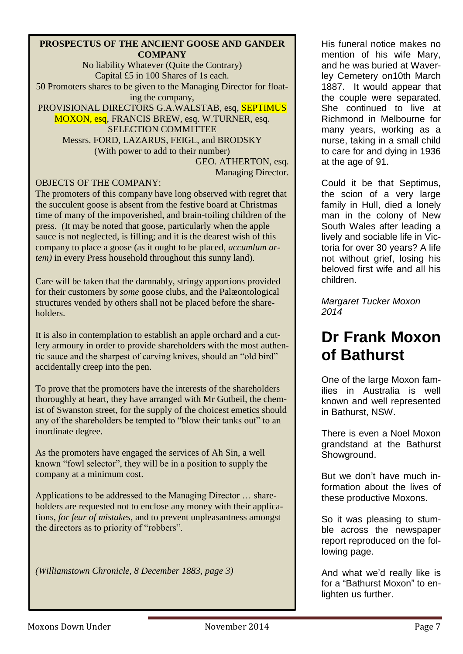#### **PROSPECTUS OF THE ANCIENT GOOSE AND GANDER COMPANY**

No liability Whatever (Quite the Contrary) Capital £5 in 100 Shares of 1s each. 50 Promoters shares to be given to the Managing Director for floating the company, PROVISIONAL DIRECTORS G.A.WALSTAB, esq, SEPTIMUS MOXON, esq, FRANCIS BREW, esq. W.TURNER, esq. SELECTION COMMITTEE Messrs. FORD, LAZARUS, FEIGL, and BRODSKY (With power to add to their number) GEO. ATHERTON, esq. Managing Director.

### OBJECTS OF THE COMPANY:

The promoters of this company have long observed with regret that the succulent goose is absent from the festive board at Christmas time of many of the impoverished, and brain-toiling children of the press. (It may be noted that goose, particularly when the apple sauce is not neglected, is filling; and it is the dearest wish of this company to place a goose (as it ought to be placed, *accumlum artem)* in every Press household throughout this sunny land).

Care will be taken that the damnably, stringy apportions provided for their customers by *some* goose clubs, and the Palæontological structures vended by others shall not be placed before the shareholders.

It is also in contemplation to establish an apple orchard and a cutlery armoury in order to provide shareholders with the most authentic sauce and the sharpest of carving knives, should an "old bird" accidentally creep into the pen.

To prove that the promoters have the interests of the shareholders thoroughly at heart, they have arranged with Mr Gutbeil, the chemist of Swanston street, for the supply of the choicest emetics should any of the shareholders be tempted to "blow their tanks out" to an inordinate degree.

As the promoters have engaged the services of Ah Sin, a well known "fowl selector", they will be in a position to supply the company at a minimum cost.

Applications to be addressed to the Managing Director … shareholders are requested not to enclose any money with their applications, *for fear of mistakes,* and to prevent unpleasantness amongst the directors as to priority of "robbers".

*(Williamstown Chronicle, 8 December 1883, page 3)*

His funeral notice makes no mention of his wife Mary, and he was buried at Waverley Cemetery on10th March 1887. It would appear that the couple were separated. She continued to live at Richmond in Melbourne for many years, working as a nurse, taking in a small child to care for and dying in 1936 at the age of 91.

Could it be that Septimus, the scion of a very large family in Hull, died a lonely man in the colony of New South Wales after leading a lively and sociable life in Victoria for over 30 years? A life not without grief, losing his beloved first wife and all his children.

*Margaret Tucker Moxon 2014*

## **Dr Frank Moxon of Bathurst**

One of the large Moxon families in Australia is well known and well represented in Bathurst, NSW.

There is even a Noel Moxon grandstand at the Bathurst Showground.

But we don't have much information about the lives of these productive Moxons.

So it was pleasing to stumble across the newspaper report reproduced on the following page.

And what we'd really like is for a "Bathurst Moxon" to enlighten us further.